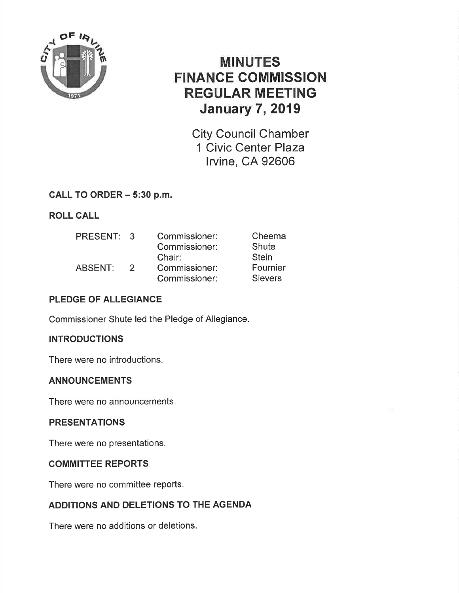

# MINUTES FINANCE COMMISSION REGULAR MEETING **January 7, 2019**

City Council Chamber 1 Civic Center Plaza lrvine, CA 92606

#### CALL TO ORDER - 5:30 p.m.

ROLL CALL

| PRESENT: 3 |               | Commissioner: | Cheema         |
|------------|---------------|---------------|----------------|
|            |               | Commissioner: | <b>Shute</b>   |
|            |               | Chair:        | <b>Stein</b>   |
| ABSENT:    | $\mathcal{P}$ | Commissioner: | Fournier       |
|            |               | Commissioner: | <b>Sievers</b> |

#### PLEDGE OF ALLEGIANCE

Commissioner Shute led the Pledge of Allegiance.

#### **INTRODUCTIONS**

There were no introductions.

#### ANNOUNCEMENTS

There were no announcements.

#### PRESENTATIONS

There were no presentations.

#### COMMITTEE REPORTS

There were no committee reports.

#### ADDITIONS AND DELETIONS TO THE AGENDA

There were no additions or deletions.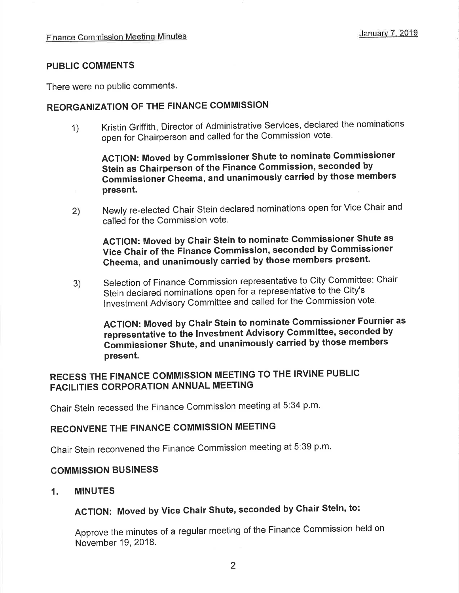#### PUBLIC COMMENTS

There were no public comments.

#### REORGANIZATION OF THE FINANCE COMMISSION

1) Kristin Griffith, Director of Administrative Services, declared the nominations open for chairperson and called for the commission vote.

AGTION: Moved by commissioner shute to nominate Gommissioner Stein as Chairperson of the Finance Gommission, seconded by Gommissionei Gheema, and unanimously carried by those members present.

Newly re-elected Chair Stein declared nominations open for Vice Chair and called for the Commission vote. 2)

#### ACTION: Moved by Chair Stein to nominate Commissioner Shute as Vice Chair of the Finance Commission, seconded by Commissioner Gheema, and unanimously carried by those members present.

Selection of Finance Commission representative to City Committee: Chair Stein declared nominations open for a representative to the City's Investment Advisory Committee and called for the Commission vote. 3)

AGTION: Moved by Ghair Stein to nominate Commissioner Fournier as representative to the Investment Advisory Committee, seconded by Commissioner Shute, and unanimously carried by those members present.

## RECESS THE FINANCE COMMISSION MEETING TO THE IRVINE PUBLIC FACILITIES CORPORATION ANNUAL MEETING

Chair Stein recessed the Finance Commission meeting at 5:34 p.m.

#### RECONVENE THE FINANCE COMMISSION MEETING

Chair Stein reconvened the Finance Commission meeting at 5:39 p.m.

#### COMMISSION BUSINESS

1. MINUTES

## ACTION: Moved by Vice Chair Shute, seconded by Ghair Stein, to:

Approve the minutes of a regular meeting of the Finance Commission held on November 19,2018.